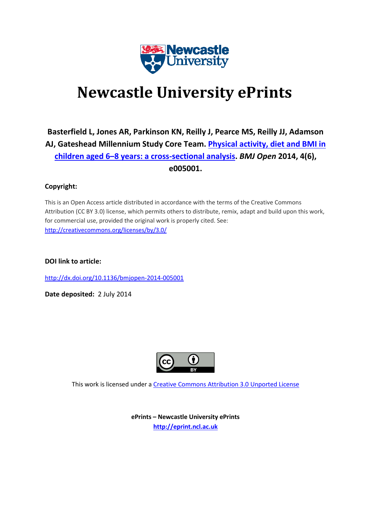

# **Newcastle University ePrints**

## **Basterfield L, Jones AR, Parkinson KN, Reilly J, Pearce MS, Reilly JJ, Adamson AJ, Gateshead Millennium Study Core Team. Physical activity, diet and BMI in children aged 6–8 years: a cross-sectional analysis.** *BMJ Open* **2014, 4(6), e005001.**

### **Copyright:**

This is an Open Access article distributed in accordance with the terms of the Creative Commons Attribution (CC BY 3.0) license, which permits others to distribute, remix, adapt and build upon this work, for commercial use, provided the original work is properly cited. See: http://creativecommons.org/licenses/by/3.0/

### **DOI link to article:**

http://dx.doi.org/10.1136/bmjopen-2014-005001

**Date deposited:** 2 July 2014



This work is licensed under a Creative Commons Attribution 3.0 Unported License

**ePrints – Newcastle University ePrints http://eprint.ncl.ac.uk**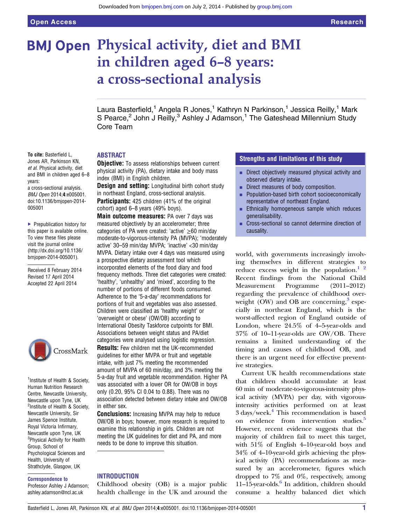# **BMJ Open Physical activity, diet and BMI** in children aged 6–8 years: a cross-sectional analysis

Laura Basterfield,<sup>1</sup> Angela R Jones,<sup>1</sup> Kathryn N Parkinson,<sup>1</sup> Jessica Reilly,<sup>1</sup> Mark S Pearce,<sup>2</sup> John J Reilly,<sup>3</sup> Ashley J Adamson,<sup>1</sup> The Gateshead Millennium Study Core Team

#### ABSTRACT

To cite: Basterfield L, Jones AR, Parkinson KN, et al. Physical activity, diet and BMI in children aged 6–8 years:

a cross-sectional analysis. BMJ Open 2014;4:e005001. doi:10.1136/bmjopen-2014- 005001

▶ Prepublication history for this paper is available online. To view these files please visit the journal online [\(http://dx.doi.org/10.1136/](http://dx.doi.org/10.1136/bmjopen-2014-005001) [bmjopen-2014-005001](http://dx.doi.org/10.1136/bmjopen-2014-005001)).

Received 8 February 2014 Revised 17 April 2014 Accepted 22 April 2014



<sup>1</sup> Institute of Health & Society, Human Nutrition Research Centre, Newcastle University, Newcastle upon Tyne, UK <sup>2</sup>Institute of Health & Society, Newcastle University, Sir James Spence Institute, Royal Victoria Infirmary, Newcastle upon Tyne, UK <sup>3</sup>Physical Activity for Health Group, School of Psychological Sciences and Health, University of Strathclyde, Glasgow, UK

#### Correspondence to

Professor Ashley J Adamson; ashley.adamson@ncl.ac.uk

**Objective:** To assess relationships between current

physical activity (PA), dietary intake and body mass index (BMI) in English children.

Design and setting: Longitudinal birth cohort study in northeast England, cross-sectional analysis.

Participants: 425 children (41% of the original cohort) aged 6–8 years (49% boys).

Main outcome measures: PA over 7 days was measured objectively by an accelerometer; three categories of PA were created: 'active'  $\geq$ 60 min/day moderate-to-vigorous-intensity PA (MVPA); 'moderately active' 30–59 min/day MVPA; 'inactive' <30 min/day MVPA. Dietary intake over 4 days was measured using a prospective dietary assessment tool which incorporated elements of the food diary and food frequency methods. Three diet categories were created: 'healthy', 'unhealthy' and 'mixed', according to the number of portions of different foods consumed. Adherence to the '5-a-day' recommendations for portions of fruit and vegetables was also assessed. Children were classified as 'healthy weight' or 'overweight or obese' (OW/OB) according to International Obesity Taskforce cutpoints for BMI. Associations between weight status and PA/diet categories were analysed using logistic regression.

Results: Few children met the UK-recommended guidelines for either MVPA or fruit and vegetable intake, with just 7% meeting the recommended amount of MVPA of 60 min/day, and 3% meeting the 5-a-day fruit and vegetable recommendation. Higher PA was associated with a lower OR for OW/OB in boys only (0.20, 95% CI 0.04 to 0.88). There was no association detected between dietary intake and OW/OB in either sex.

**Conclusions:** Increasing MVPA may help to reduce OW/OB in boys; however, more research is required to examine this relationship in girls. Children are not meeting the UK guidelines for diet and PA, and more needs to be done to improve this situation.

#### **INTRODUCTION**

Childhood obesity (OB) is a major public health challenge in the UK and around the

#### Strengths and limitations of this study

- $\blacksquare$  Direct objectively measured physical activity and observed dietary intake.
- **EXECUTE:** Direct measures of body composition.
- Population-based birth cohort socioeconomically representative of northeast England.
- **Ethnically homogeneous sample which reduces** generalisability.
- Cross-sectional so cannot determine direction of causality.

world, with governments increasingly involving themselves in different strategies to reduce excess weight in the population. $1^2$ Recent findings from the National Child Measurement Programme (2011–2012) regarding the prevalence of childhood overweight (OW) and OB are concerning, $3$  especially in northeast England, which is the worst-affected region of England outside of London, where 24.5% of 4–5-year-olds and 37% of 10–11-year-olds are OW/OB. There remains a limited understanding of the timing and causes of childhood OB, and there is an urgent need for effective preventive strategies.

Current UK health recommendations state that children should accumulate at least 60 min of moderate-to-vigorous-intensity physical activity (MVPA) per day, with vigorousintensity activities performed on at least  $3 \text{ days}/\text{week}$ .<sup>4</sup> This recommendation is based on evidence from intervention studies.<sup>5</sup> However, recent evidence suggests that the majority of children fail to meet this target, with 51% of English 4–10-year-old boys and 34% of 4–10-year-old girls achieving the physical activity (PA) recommendations as measured by an accelerometer, figures which dropped to 7% and 0%, respectively, among 11–15-year-olds. $6$  In addition, children should consume a healthy balanced diet which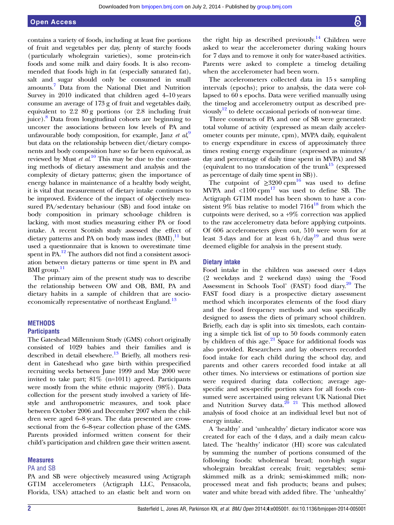contains a variety of foods, including at least five portions of fruit and vegetables per day, plenty of starchy foods (particularly wholegrain varieties), some protein-rich foods and some milk and dairy foods. It is also recommended that foods high in fat (especially saturated fat), salt and sugar should only be consumed in small amounts.7 Data from the National Diet and Nutrition Survey in 2010 indicated that children aged 4–10 years consume an average of 173 g of fruit and vegetables daily, equivalent to 2.2 80 g portions (or 2.8 including fruit juice).<sup>8</sup> Data from longitudinal cohorts are beginning to uncover the associations between low levels of PA and unfavourable body composition, for example, Janz et al, but data on the relationship between diet/dietary components and body composition have so far been equivocal, as reviewed by Must  $et al^{10}$  This may be due to the contrasting methods of dietary assessment and analysis and the complexity of dietary patterns; given the importance of energy balance in maintenance of a healthy body weight, it is vital that measurement of dietary intake continues to be improved. Evidence of the impact of objectively measured PA/sedentary behaviour (SB) and food intake on body composition in primary school-age children is lacking, with most studies measuring either PA or food intake. A recent Scottish study assessed the effect of dietary patterns and PA on body mass index  $(BMI)$ , <sup>11</sup> but used a questionnaire that is known to overestimate time spent in PA.<sup>12</sup> The authors did not find a consistent association between dietary patterns or time spent in PA and BMI group. $\frac{11}{11}$ 

The primary aim of the present study was to describe the relationship between OW and OB, BMI, PA and dietary habits in a sample of children that are socioeconomically representative of northeast England.<sup>13</sup>

#### **METHODS Participants**

The Gateshead Millennium Study (GMS) cohort originally consisted of 1029 babies and their families and is described in detail elsewhere.<sup>13</sup> Briefly, all mothers resident in Gateshead who gave birth within prespecified recruiting weeks between June 1999 and May 2000 were invited to take part; 81% (n=1011) agreed. Participants were mostly from the white ethnic majority (98%). Data collection for the present study involved a variety of lifestyle and anthropometric measures, and took place between October 2006 and December 2007 when the children were aged 6–8 years. The data presented are crosssectional from the 6–8-year collection phase of the GMS. Parents provided informed written consent for their child's participation and children gave their written assent.

#### **Measures**

#### PA and SB

PA and SB were objectively measured using Actigraph GT1M accelerometers (Actigraph LLC, Pensacola, Florida, USA) attached to an elastic belt and worn on

the right hip as described previously.<sup>14</sup> Children were asked to wear the accelerometer during waking hours for 7 days and to remove it only for water-based activities. Parents were asked to complete a timelog detailing when the accelerometer had been worn.

The accelerometers collected data in 15 s sampling intervals (epochs); prior to analysis, the data were collapsed to 60 s epochs. Data were verified manually using the timelog and accelerometry output as described previously $12$  to delete occasional periods of non-wear time.

Three constructs of PA and one of SB were generated: total volume of activity (expressed as mean daily accelerometer counts per minute, cpm), MVPA daily, equivalent to energy expenditure in excess of approximately three times resting energy expenditure (expressed as minutes/ day and percentage of daily time spent in MVPA) and SB (equivalent to no translocation of the trunk<sup>15</sup> (expressed as percentage of daily time spent in SB)).

The cutpoint of  $\geq 3200$  cpm<sup>16</sup> was used to define MVPA and  $\langle 1100 \text{ cpm}^{17}$  was used to define SB. The Actigraph GT1M model has been shown to have a consistent  $9\%$  bias relative to model  $7164^{18}$  from which the cutpoints were derived, so a +9% correction was applied to the raw accelerometry data before applying cutpoints. Of 606 accelerometers given out, 510 were worn for at least 3 days and for at least  $6 h/day^{19}$  and thus were deemed eligible for analysis in the present study.

#### Dietary intake

Food intake in the children was assessed over 4 days (2 weekdays and 2 weekend days) using the 'Food Assessment in Schools Tool' (FAST) food diary.<sup>20</sup> The FAST food diary is a prospective dietary assessment method which incorporates elements of the food diary and the food frequency methods and was specifically designed to assess the diets of primary school children. Briefly, each day is split into six timeslots, each containing a simple tick list of up to 50 foods commonly eaten by children of this age. $21$  Space for additional foods was also provided. Researchers and lay observers recorded food intake for each child during the school day, and parents and other carers recorded food intake at all other times. No interviews or estimations of portion size were required during data collection; average agespecific and sex-specific portion sizes for all foods consumed were ascertained using relevant UK National Diet and Nutrition Survey data.<sup>20</sup> <sup>21</sup> This method allowed analysis of food choice at an individual level but not of energy intake.

A 'healthy' and 'unhealthy' dietary indicator score was created for each of the 4 days, and a daily mean calculated. The 'healthy' indicator (HI) score was calculated by summing the number of portions consumed of the following foods: wholemeal bread; non-high sugar wholegrain breakfast cereals; fruit; vegetables; semiskimmed milk as a drink; semi-skimmed milk; nonprocessed meat and fish products; beans and pulses; water and white bread with added fibre. The 'unhealthy'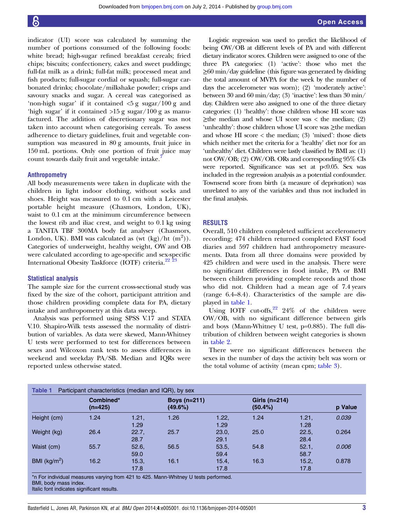indicator (UI) score was calculated by summing the number of portions consumed of the following foods: white bread; high-sugar refined breakfast cereals; fried chips; biscuits; confectionery, cakes and sweet puddings; full-fat milk as a drink; full-fat milk; processed meat and fish products; full-sugar cordial or squash; full-sugar carbonated drinks; chocolate/milkshake powder; crisps and savoury snacks and sugar. A cereal was categorised as 'non-high sugar' if it contained <5 g sugar/100 g and 'high sugar' if it contained >15 g sugar/100 g as manufactured. The addition of discretionary sugar was not taken into account when categorising cereals. To assess adherence to dietary guidelines, fruit and vegetable consumption was measured in 80 g amounts, fruit juice in 150 mL portions. Only one portion of fruit juice may count towards daily fruit and vegetable intake.

#### Anthropometry

All body measurements were taken in duplicate with the children in light indoor clothing, without socks and shoes. Height was measured to 0.1 cm with a Leicester portable height measure (Chasmors, London, UK), waist to 0.1 cm at the minimum circumference between the lowest rib and iliac crest, and weight to 0.1 kg using a TANITA TBF 300MA body fat analyser (Chasmors, London, UK). BMI was calculated as (wt (kg)/ht  $(m^2)$ ). Categories of underweight, healthy weight, OW and OB were calculated according to age-specific and sex-specific International Obesity Taskforce (IOTF) criteria.<sup>22 23</sup>

#### Statistical analysis

The sample size for the current cross-sectional study was fixed by the size of the cohort, participant attrition and those children providing complete data for PA, dietary intake and anthropometry at this data sweep.

Analysis was performed using SPSS V.17 and STATA V.10. Shapiro-Wilk tests assessed the normality of distribution of variables. As data were skewed, Mann-Whitney U tests were performed to test for differences between sexes and Wilcoxon rank tests to assess differences in weekend and weekday PA/SB. Median and IQRs were reported unless otherwise stated.

Logistic regression was used to predict the likelihood of being OW/OB at different levels of PA and with different dietary indicator scores. Children were assigned to one of the three PA categories: (1) 'active': those who met the  $\geq$ 60 min/day guideline (this figure was generated by dividing the total amount of MVPA for the week by the number of days the accelerometer was worn); (2) 'moderately active': between 30 and 60 min/day; (3) 'inactive': less than 30 min/ day. Children were also assigned to one of the three dietary categories: (1) 'healthy': those children whose HI score was  $\geq$ the median and whose UI score was < the median; (2) 'unhealthy': those children whose UI score was ≥the median and whose HI score < the median; (3) 'mixed': those diets which neither met the criteria for a 'healthy' diet nor for an 'unhealthy' diet. Children were lastly classified by BMI as: (1) not OW/OB; (2) OW/OB. ORs and corresponding 95% CIs were reported. Significance was set at p<0.05. Sex was included in the regression analysis as a potential confounder. Townsend score from birth (a measure of deprivation) was unrelated to any of the variables and thus not included in the final analysis.

#### RESULTS

Overall, 510 children completed sufficient accelerometry recording; 474 children returned completed FAST food diaries and 597 children had anthropometry measurements. Data from all three domains were provided by 425 children and were used in the analysis. There were no significant differences in food intake, PA or BMI between children providing complete records and those who did not. Children had a mean age of 7.4 years (range 6.4–8.4). Characteristics of the sample are displayed in table 1.

Using IOTF cut-offs,  $22\frac{24}{%}$  of the children were OW/OB, with no significant difference between girls and boys (Mann-Whitney U test, p=0.885). The full distribution of children between weight categories is shown in table 2.

There were no significant differences between the sexes in the number of days the activity belt was worn or the total volume of activity (mean cpm; table 3).

|                         | Combined* |       | Boys $(n=211)$ |         | Girls $(n=214)$ |            |       |
|-------------------------|-----------|-------|----------------|---------|-----------------|------------|-------|
|                         | $(n=425)$ |       |                | (49.6%) |                 | $(50.4\%)$ |       |
| Height (cm)             | 1.24      | 1.21. | 1.26           | 1.22,   | 1.24            | 1.21.      | 0.039 |
|                         |           | 1.29  |                | 1.29    |                 | 1.28       |       |
| Weight (kg)             | 26.4      | 22.7, | 25.7           | 23.0,   | 25.0            | 22.5.      | 0.264 |
|                         |           | 28.7  |                | 29.1    |                 | 28.4       |       |
| Waist (cm)              | 55.7      | 52.6. | 56.5           | 53.5.   | 54.8            | 52.1       | 0.006 |
|                         |           | 59.0  |                | 59.4    |                 | 58.7       |       |
| BMI ( $\text{kg/m}^2$ ) | 16.2      | 15.3, | 16.1           | 15.4.   | 16.3            | 15.2,      | 0.878 |
|                         |           | 17.8  |                | 17.8    |                 | 17.8       |       |

\*n For individual measures varying from 421 to 425. Mann-Whitney U tests performed. BMI, body mass index.

Italic font indicates significant results.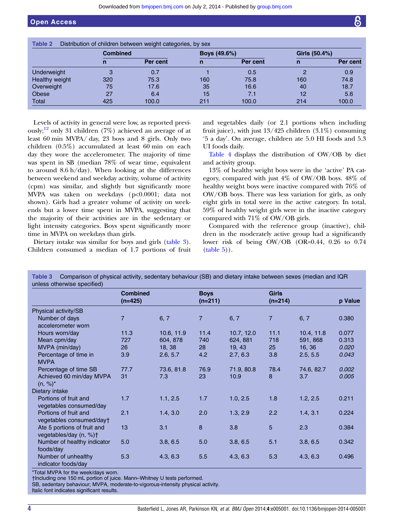| Table 2        |                 | Distribution of children between weight categories, by sex |                     |          |               |          |
|----------------|-----------------|------------------------------------------------------------|---------------------|----------|---------------|----------|
|                | <b>Combined</b> |                                                            | <b>Boys (49.6%)</b> |          | Girls (50.4%) |          |
|                | n               | Per cent                                                   | n                   | Per cent | n             | Per cent |
| Underweight    |                 | 0.7                                                        |                     | 0.5      |               | 0.9      |
| Healthy weight | 320             | 75.3                                                       | 160                 | 75.8     | 160           | 74.8     |
| Overweight     | 75              | 17.6                                                       | 35                  | 16.6     | 40            | 18.7     |
| <b>Obese</b>   | 27              | 6.4                                                        | 15                  | 7.1      | 12            | 5.6      |
| <b>Total</b>   | 425             | 100.0                                                      | 211                 | 100.0    | 214           | 100.0    |

Levels of activity in general were low, as reported previously;<sup>12</sup> only 31 children (7%) achieved an average of at least 60 min MVPA/ day, 23 boys and 8 girls. Only two children (0.5%) accumulated at least 60 min on each day they wore the accelerometer. The majority of time was spent in SB (median 78% of wear time, equivalent to around  $8.6 \text{ h/day}$ . When looking at the differences between weekend and weekday activity, volume of activity (cpm) was similar, and slightly but significantly more MVPA was taken on weekdays (p<0.0001; data not shown). Girls had a greater volume of activity on weekends but a lower time spent in MVPA, suggesting that the majority of their activities are in the sedentary or light intensity categories. Boys spent significantly more time in MVPA on weekdays than girls.

Dietary intake was similar for boys and girls (table 3). Children consumed a median of 1.7 portions of fruit

and vegetables daily (or 2.1 portions when including fruit juice), with just  $13/425$  children  $(3.1\%)$  consuming '5 a day'. On average, children ate 5.0 HI foods and 5.3 UI foods daily.

Table 4 displays the distribution of OW/OB by diet and activity group.

13% of healthy weight boys were in the 'active' PA category, compared with just 4% of OW/OB boys. 48% of healthy weight boys were inactive compared with 76% of OW/OB boys. There was less variation for girls, as only eight girls in total were in the active category. In total, 59% of healthy weight girls were in the inactive category compared with 71% of OW/OB girls.

Compared with the reference group (inactive), children in the moderately active group had a significantly lower risk of being OW/OB (OR=0.44, 0.26 to 0.74  $(table 5)$ .

|                                                                   | <b>Combined</b><br>$(n=425)$ |            | <b>Boys</b><br>$(n=211)$ |            | <b>Girls</b><br>$(n=214)$ |            | p Value |
|-------------------------------------------------------------------|------------------------------|------------|--------------------------|------------|---------------------------|------------|---------|
| Physical activity/SB                                              |                              |            |                          |            |                           |            |         |
| Number of days<br>accelerometer worn                              | $\overline{7}$               | 6, 7       | $\overline{7}$           | 6, 7       | $\overline{7}$            | 6, 7       | 0.380   |
| Hours worn/day                                                    | 11.3                         | 10.6, 11.9 | 11.4                     | 10.7, 12.0 | 11.1                      | 10.4, 11.8 | 0.077   |
| Mean cpm/day                                                      | 727                          | 604, 878   | 740                      | 624, 881   | 718                       | 591, 868   | 0.313   |
| MVPA (min/day)                                                    | 26                           | 18, 38     | 28                       | 19, 43     | 25                        | 16, 36     | 0.020   |
| Percentage of time in<br><b>MVPA</b>                              | 3.9                          | 2.6, 5.7   | 4.2                      | 2.7, 6.3   | 3.8                       | 2.5, 5.5   | 0.043   |
| Percentage of time SB                                             | 77.7                         | 73.6, 81.8 | 76.9                     | 71.9, 80.8 | 78.4                      | 74.6, 82.7 | 0.002   |
| Achieved 60 min/day MVPA<br>(n, %)                                | 31                           | 7.3        | 23                       | 10.9       | 8                         | 3.7        | 0.005   |
| Dietary intake                                                    |                              |            |                          |            |                           |            |         |
| Portions of fruit and<br>vegetables consumed/day                  | 1.7                          | 1.1, 2.5   | 1.7                      | 1.0, 2.5   | 1.8                       | 1.2, 2.5   | 0.211   |
| Portions of fruit and<br>vegetables consumed/day†                 | 2.1                          | 1.4, 3.0   | 2.0                      | 1.3, 2.9   | 2.2                       | 1.4, 3.1   | 0.224   |
| Ate 5 portions of fruit and<br>vegetables/day (n, %) <sup>+</sup> | 13                           | 3.1        | 8                        | 3.8        | 5                         | 2.3        | 0.384   |
| Number of healthy indicator<br>foods/day                          | 5.0                          | 3.8, 6.5   | 5.0                      | 3.8, 6.5   | 5.1                       | 3.8, 6.5   | 0.342   |
| Number of unhealthy<br>indicator foods/day                        | 5.3                          | 4.3, 6.3   | 5.5                      | 4.3, 6.3   | 5.3                       | 4.3, 6.3   | 0.496   |

Table 3 Comparison of physical activity, sedentary behaviour (SB) and dietary intake between sexes (median and IQR

\*Total MVPA for the week/days worn.

†Including one 150 mL portion of juice. Mann–Whitney U tests performed.

SB, sedentary behaviour; MVPA, moderate-to-vigorous-intensity physical activity.

Italic font indicates significant results.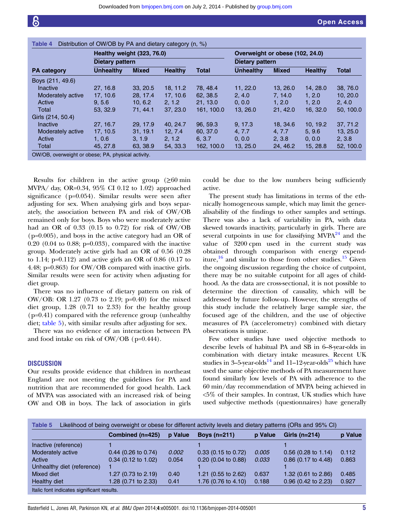|                    | Healthy weight (323, 76.0) |              |          |              | Overweight or obese (102, 24.0) |              |                |              |  |
|--------------------|----------------------------|--------------|----------|--------------|---------------------------------|--------------|----------------|--------------|--|
|                    | Dietary pattern            |              |          |              | Dietary pattern                 |              |                |              |  |
| <b>PA category</b> | <b>Unhealthy</b>           | <b>Mixed</b> | Healthy  | <b>Total</b> | <b>Unhealthy</b>                | <b>Mixed</b> | <b>Healthy</b> | <b>Total</b> |  |
| Boys (211, 49.6)   |                            |              |          |              |                                 |              |                |              |  |
| Inactive           | 27, 16.8                   | 33, 20.5     | 18, 11.2 | 78, 48.4     | 11, 22.0                        | 13, 26.0     | 14, 28.0       | 38, 76.0     |  |
| Moderately active  | 17, 10.6                   | 28, 17.4     | 17, 10.6 | 62, 38.5     | 2, 4.0                          | 7, 14.0      | 1, 2.0         | 10, 20.0     |  |
| Active             | 9, 5.6                     | 10.6.2       | 2, 1.2   | 21, 13.0     | 0.0.0                           | 1.2.0        | 1, 2.0         | 2, 4.0       |  |
| Total              | 53, 32.9                   | 71, 44.1     | 37, 23.0 | 161, 100.0   | 13, 26.0                        | 21, 42.0     | 16, 32.0       | 50, 100.0    |  |
| Girls (214, 50.4)  |                            |              |          |              |                                 |              |                |              |  |
| Inactive           | 27, 16.7                   | 29.17.9      | 40.24.7  | 96, 59.3     | 9.17.3                          | 18, 34.6     | 10.19.2        | 37, 71.2     |  |
| Moderately active  | 17, 10.5                   | 31.19.1      | 12.7.4   | 60.37.0      | 4.7.7                           | 4.7.7        | 5, 9.6         | 13, 25.0     |  |
| Active             | 1, 0.6                     | 3.1.9        | 2, 1.2   | 6, 3.7       | 0, 0.0                          | 2, 3.8       | 0, 0.0         | 2, 3.8       |  |
| Total              | 45, 27.8                   | 63, 38.9     | 54, 33.3 | 162, 100.0   | 13, 25.0                        | 24, 46.2     | 15, 28.8       | 52, 100.0    |  |

Results for children in the active group  $(\geq 60 \text{ min})$ MVPA/ day, OR=0.34, 95% CI 0.12 to 1.02) approached significance (p=0.054). Similar results were seen after adjusting for sex. When analysing girls and boys separately, the association between PA and risk of OW/OB remained only for boys. Boys who were moderately active had an OR of 0.33 (0.15 to 0.72) for risk of OW/OB (p=0.005), and boys in the active category had an OR of 0.20 (0.04 to 0.88; p=0.033), compared with the inactive group. Moderately active girls had an OR of 0.56 (0.28 to 1.14; p=0.112) and active girls an OR of 0.86 (0.17 to 4.48; p=0.863) for OW/OB compared with inactive girls. Similar results were seen for activity when adjusting for diet group.

There was no influence of dietary pattern on risk of OW/OB: OR 1.27 (0.73 to 2.19; p=0.40) for the mixed diet group, 1.28 (0.71 to 2.33) for the healthy group (p=0.41) compared with the reference group (unhealthy diet; table 5), with similar results after adjusting for sex.

There was no evidence of an interaction between PA and food intake on risk of OW/OB (p=0.444).

#### **DISCUSSION**

Our results provide evidence that children in northeast England are not meeting the guidelines for PA and nutrition that are recommended for good health. Lack of MVPA was associated with an increased risk of being OW and OB in boys. The lack of association in girls

could be due to the low numbers being sufficiently active.

The present study has limitations in terms of the ethnically homogeneous sample, which may limit the generalisability of the findings to other samples and settings. There was also a lack of variability in PA, with data skewed towards inactivity, particularly in girls. There are several cutpoints in use for classifying  $MVPA<sup>24</sup>$  and the value of 3200 cpm used in the current study was obtained through comparison with energy expenditure, $\frac{16}{16}$  and similar to those from other studies.<sup>15</sup> Given the ongoing discussion regarding the choice of cutpoint, there may be no suitable cutpoint for all ages of childhood. As the data are cross-sectional, it is not possible to determine the direction of causality, which will be addressed by future follow-up. However, the strengths of this study include the relatively large sample size, the focused age of the children, and the use of objective measures of PA (accelerometry) combined with dietary observations is unique.

Few other studies have used objective methods to describe levels of habitual PA and SB in 6–8-year-olds in combination with dietary intake measures. Recent UK studies in 3–5-year-olds<sup>14</sup> and 11–12-year-olds<sup>25</sup> which have used the same objective methods of PA measurement have found similarly low levels of PA with adherence to the 60 min/day recommendation of MVPA being achieved in <5% of their samples. In contrast, UK studies which have used subjective methods (questionnaires) have generally

| Likelihood of being overweight or obese for different activity levels and dietary patterns (ORs and 95% CI)<br>Table 5 |                       |                |                       |                |                                |         |
|------------------------------------------------------------------------------------------------------------------------|-----------------------|----------------|-----------------------|----------------|--------------------------------|---------|
|                                                                                                                        | Combined (n=425)      | <b>p</b> Value | Boys $(n=211)$        | <b>p</b> Value | Girls $(n=214)$                | p Value |
| Inactive (reference)                                                                                                   |                       |                |                       |                |                                |         |
| Moderately active                                                                                                      | $0.44$ (0.26 to 0.74) | 0.002          | $0.33$ (0.15 to 0.72) | 0.005          | $0.56$ (0.28 to 1.14)          | 0.112   |
| Active                                                                                                                 | $0.34$ (0.12 to 1.02) | 0.054          | $0.20$ (0.04 to 0.88) | 0.033          | $0.86$ (0.17 to 4.48)          | 0.863   |
| Unhealthy diet (reference)                                                                                             |                       |                |                       |                |                                |         |
| Mixed diet                                                                                                             | 1.27 (0.73 to 2.19)   | 0.40           | 1.21 (0.55 to 2.62)   | 0.637          | 1.32 $(0.61 \text{ to } 2.86)$ | 0.485   |
| Healthy diet                                                                                                           | 1.28 (0.71 to 2.33)   | 0.41           | 1.76 (0.76 to 4.10)   | 0.188          | $0.96$ (0.42 to 2.23)          | 0.927   |
| Italic font indicates significant results.                                                                             |                       |                |                       |                |                                |         |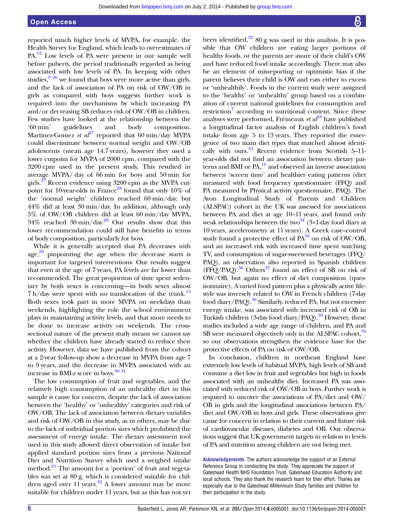#### Open Access

reported much higher levels of MVPA, for example, the Health Survey for England, which leads to overestimates of PA.<sup>12</sup> Low levels of PA were present in our sample well before puberty, the period traditionally regarded as being associated with low levels of PA. In keeping with other studies, $9^{96}$  we found that boys were more active than girls, and the lack of association of PA on risk of OW/OB in girls as compared with boys suggests further work is required into the mechanisms by which increasing PA and/or decreasing SB reduces risk of OW/OB in children. Few studies have looked at the relationship between the '60 min' guidelines and body composition. Martinez-Gomez et  $a^{27}$  reported that 60 min/day MVPA could discriminate between normal weight and OW/OB adolescents (mean age 14.7 years), however they used a lower cutpoint for MVPA of 2000 cpm, compared with the 3200 cpm used in the present study. This resulted in average MVPA/ day of 66 min for boys and 50 min for girls.<sup>27</sup> Recent evidence using 3200 cpm as the MVPA cutpoint for 10-year-olds in France<sup>28</sup> found that only 10% of the 'normal weight' children reached 60 min/day, but 44% did at least 30 min/day. In addition, although only 5% of OW/OB children did at least 60 min/day MVPA,  $34\%$  reached  $30 \text{ min/day}^{28}$  Our results show that this lower recommendation could still have benefits in terms of body composition, particularly for boys.

While it is generally accepted that PA decreases with age, $29$  pinpointing the age when the decrease starts is important for targeted interventions. Our results suggest that even at the age of 7 years, PA levels are far lower than recommended. The great proportion of time spent sedentary by both sexes is concerning—in both sexes almost  $7 h/day$  were spent with no translocation of the trunk.<sup>15</sup> Both sexes took part in more MVPA on weekdays than weekends, highlighting the role the school environment plays in maintaining activity levels, and that more needs to be done to increase activity on weekends. The crosssectional nature of the present study means we cannot say whether the children have already started to reduce their activity. However, data we have published from the cohort at a 2-year follow-up show a decrease in MVPA from age 7 to 9 years, and the decrease in MVPA associated with an increase in BMI-z score in boys.<sup>30</sup><sup>31</sup>

The low consumption of fruit and vegetables, and the relatively high consumption of an unhealthy diet in this sample is cause for concern, despite the lack of association between the 'healthy' or 'unhealthy' categories and risk of OW/OB. The lack of association between dietary variables and risk of OW/OB in this study, as in others, may be due to the lack of individual portion sizes which prohibited the assessment of energy intake. The dietary assessment tool used in this study allowed direct observation of intake but applied standard portion sizes from a previous National Diet and Nutrition Survey which used a weighed intake method.<sup>21</sup> The amount for a 'portion' of fruit and vegetables was set at 80 g, which is considered suitable for children aged over  $11$  years.<sup>32</sup> A lower amount may be more suitable for children under 11 years, but as this has not yet

been identified, $32$  80 g was used in this analysis. It is possible that OW children are eating larger portions of healthy foods, or the parents are aware of their child's OW and have reduced food intake accordingly. There may also be an element of misreporting or optimistic bias if the parent believes their child is OW and eats either to excess or 'unhealthily'. Foods in the current study were assigned to the 'healthy' or 'unhealthy' group based on a combination of current national guidelines for consumption and restriction<sup>7</sup> according to nutritional content. Since these analyses were performed, Frémeaux et  $a<sup>\beta</sup>$ 3 have published a longitudinal factor analysis of English children's food intake from age 5 to 13 years. They reported the emergence of two main diet types that matched almost identically with ours.<sup>33</sup> Recent evidence from Scottish 5–11year-olds did not find an association between dietary patterns and BMI or  $PA$ , $^{11}$  and observed an inverse association between 'screen time' and healthier eating patterns (diet measured with food frequency questionnaire (FFQ) and PA measured by Physical activity questionnaire, PAQ). The Avon Longitudinal Study of Parents and Children (ALSPAC) cohort in the UK was assessed for associations between PA and diet at age 10–11 years, and found only weak relationships between the two $34$  (3×1-day food diary at 10 years, accelerometry at 11 years). A Greek case–control study found a protective effect of  $PA^{35}$  on risk of OW/OB, and an increased risk with increased time spent watching TV, and consumption of sugar-sweetened beverages (FFQ/ PAQ), an observation also reported in Spanish children  $(FFQ/PAQ).$ <sup>36</sup> Others<sup>37</sup> found an effect of SB on risk of OW/OB, but again no effect of diet composition (questionnaire). A varied food pattern plus a physically active lifestyle was inversely related to OW in French children (7-day food diary/PAQ).38 Similarly, reduced PA, but not excessive energy intake, was associated with increased risk of OB in Turkish children (3-day food diary/PAQ).<sup>39</sup> However, these studies included a wide age range of children, and PA and SB were measured objectively only in the ALSPAC cohort,<sup>34</sup> so our observations strengthen the evidence base for the protective effects of PA on risk of OW/OB.

In conclusion, children in northeast England have extremely low levels of habitual MVPA, high levels of SB and consume a diet low in fruit and vegetables but high in foods associated with an unhealthy diet. Increased PA was associated with reduced risk of OW/OB in boys. Further work is required to uncover the associations of PA/diet and OW/ OB in girls and the longitudinal associations between PA/ diet and OW/OB in boys and girls. These observations give cause for concern in relation to their current and future risk of cardiovascular diseases, diabetes and OB. Our observations suggest that UK government targets in relation to levels of PA and nutrition among children are not being met.

Acknowledgements The authors acknowledge the support of an External Reference Group in conducting the study. They appreciate the support of Gateshead Health NHS Foundation Trust, Gateshead Education Authority and local schools. They also thank the research team for their effort. Thanks are especially due to the Gateshead Millennium Study families and children for their participation in the study.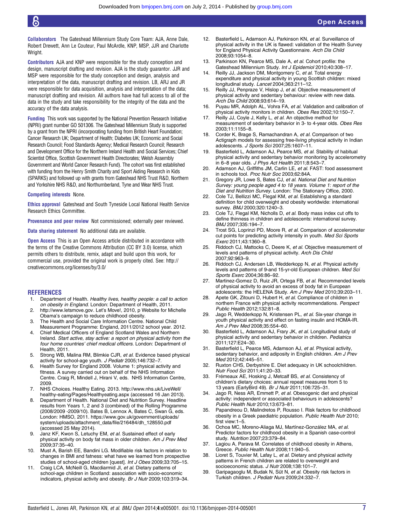Collaborators The Gateshead Millennium Study Core Team: AJA, Anne Dale, Robert Drewett, Ann Le Couteur, Paul McArdle, KNP, MSP, JJR and Charlotte Wright.

Contributors AJA and KNP were responsible for the study conception and design, manuscript drafting and revision. AJA is the study guarantor. JJR and MSP were responsible for the study conception and design, analysis and interpretation of the data, manuscript drafting and revision. LB, ARJ and JR were responsible for data acquisition, analysis and interpretation of the data; manuscript drafting and revision. All authors have had full access to all of the data in the study and take responsibility for the integrity of the data and the accuracy of the data analysis.

Funding This work was supported by the National Prevention Research Initiative (NPRI) grant number GO 501306. The Gateshead Millennium Study is supported by a grant from the NPRI (incorporating funding from British Heart Foundation; Cancer Research UK; Department of Health; Diabetes UK; Economic and Social Research Council; Food Standards Agency; Medical Research Council; Research and Development Office for the Northern Ireland Health and Social Services; Chief Scientist Office, Scottish Government Health Directorates; Welsh Assembly Government and World Cancer Research Fund). The cohort was first established with funding from the Henry Smith Charity and Sport Aiding Research in Kids (SPARKS) and followed up with grants from Gateshead NHS Trust R&D, Northern and Yorkshire NHS R&D, and Northumberland, Tyne and Wear NHS Trust.

#### Competing interests None.

Ethics approval Gateshead and South Tyneside Local National Health Service Research Ethics Committee.

Provenance and peer review Not commissioned; externally peer reviewed.

Data sharing statement No additional data are available.

Open Access This is an Open Access article distributed in accordance with the terms of the Creative Commons Attribution (CC BY 3.0) license, which permits others to distribute, remix, adapt and build upon this work, for commercial use, provided the original work is properly cited. See: [http://](http://creativecommons.org/licenses/by/3.0/) [creativecommons.org/licenses/by/3.0/](http://creativecommons.org/licenses/by/3.0/)

#### **REFERENCES**

- 1. Department of Health. Healthy lives, healthy people: a call to action on obesity in England. London: Department of Health, 2011.
- 2. [http://www.letsmove.gov.](http://www.letsmove.gov) Let's Move!, 2010, p Website for Michelle Obama's campaign to reduce childhood obesity.
- 3. The Health and Social Care Information Centre. National Child Measurement Programme: England, 2011/2012 school year. 2012.
- 4. Chief Medical Officers of England Scotland Wales and Northern Ireland. Start active, stay active: a report on physical activity from the four home countries' chief medical officers. London: Department of Health, 2011.
- 5. Strong WB, Malina RM, Blimkie CJR, et al. Evidence based physical activity for school-age youth. J Pediatr 2005;146:732–7.
- 6. Health Survey for England 2008. Volume 1: physical activity and fitness. A survey carried out on behalf of the NHS Information Centre. Craig R, Mindell J, Hirani V, eds. NHS Information Centre, 2009.
- 7. NHS Choices. Healthy Eating. 2013. http://www.nhs.uk/LiveWell/ healthy-eating/Pages/Healthyeating.aspx (accessed 16 Jan 2013).
- 8. Department of Health. National Diet and Nutrition Survey. Headline results from Years 1, 2 and 3 (combined) of the Rolling Programme (2008/2009 -2009/10). Bates B, Lennox A, Bates C, Swan G, eds. London: HMSO, 2011. https://www.gov.uk/government/uploads/ system/uploads/attachment\_data/file/216484/dh\_128550.pdf (accessed 25 May 2014).
- 9. Janz KF, Kwon S, Letuchy EM, et al. Sustained effect of early physical activity on body fat mass in older children. Am J Prev Med 2009;37:35–40.
- 10. Must A, Barish EE, Bandini LG. Modifiable risk factors in relation to changes in BMI and fatness: what have we learned from prospective studies of school-aged children [quest]. Int J Obes 2009;33:705–15.
- 11. Craig LCA, McNeill G, Macdiarmid JI, et al. Dietary patterns of school-age children in Scotland: association with socio-economic indicators, physical activity and obesity. Br J Nutr 2009;103:319–34.
- 12. Basterfield L, Adamson AJ, Parkinson KN, et al. Surveillance of physical activity in the UK is flawed: validation of the Health Survey for England Physical Activity Questionnaire. Arch Dis Child 2008;93:1054–8.
- 13. Parkinson KN, Pearce MS, Dale A, et al. Cohort profile: the Gateshead Millennium Study. Int J Epidemiol 2010;40:308–17.
- 14. Reilly JJ, Jackson DM, Montgomery C, et al. Total energy expenditure and physical activity in young Scottish children: mixed longitudinal study. Lancet 2004;363:211–12.
- 15. Reilly JJ, Penpraze V, Hislop J, et al. Objective measurement of physical activity and sedentary behaviour: review with new data. Arch Dis Child 2008;93:614–19.
- 16. Puyau MR, Adolph AL, Vohra FA, et al. Validation and calibration of physical activity monitors in children. Obes Res 2002;10:150–7.
- 17. Reilly JJ, Coyle J, Kelly L, et al. An objective method for measurement of sedentary behavior in 3- to 4-year olds. Obes Res 2003;11:1155–8.
- Corder K, Brage S, Ramachandran A, et al. Comparison of two Actigraph models for assessing free-living physical activity in Indian adolescents. J Sports Sci 2007;25:1607–11.
- 19. Basterfield L, Adamson AJ, Pearce MS, et al. Stability of habitual physical activity and sedentary behavior monitoring by accelerometry in 6–8 year olds. J Phys Act Health 2011;8:543–7.
- 20. Adamson AJ, Griffiths JM, Carlin LE, et al. FAST: food assessment in schools tool. Proc Nutr Soc 2003;62:84A.
- 21. Gregory JR, Lowe S, Bates CJ, et al. National Diet and Nutrition Survey: young people aged 4 to 18 years. Volume 1: report of the Diet and Nutrition Survey. London: The Stationary Office, 2000.
- 22. Cole TJ, Bellizzi MC, Flegal KM, et al. Establishing a standard definition for child overweight and obesity worldwide: international survey. BMJ 2000;320:1240-3.
- 23. Cole TJ, Flegal KM, Nicholls D, et al. Body mass index cut offs to define thinness in children and adolescents: international survey. BMJ 2007;335:194–7.
- 24. Trost SG, Loprinzi PD, Moore R, et al. Comparison of accelerometer cut points for predicting activity intensity in youth. Med Sci Sports Exerc 2011;43:1360–8.
- 25. Riddoch CJ, Mattocks C, Deere K, et al. Objective measurement of levels and patterns of physical activity. Arch Dis Child 2007;92:963–9.
- 26. Riddoch CJ, Andersen LB, Wedderkopp N, et al. Physical activity levels and patterns of 9-and 15-yr-old European children. Med Sci Sports Exerc 2004;36:86–92.
- 27. Martinez-Gomez D, Ruiz JR, Ortega FB, et al. Recommended levels of physical activity to avoid an excess of body fat in European adolescents: the HELENA Study. Am J Prev Med 2010;39:203–11.
- 28. Apete GK, Zitouni D, Hubert H, et al. Compliance of children in northern France with physical activity recommendations. Perspect Public Health 2012;132:81–8.
- 29. Jago R, Wedderkopp N, Kristensen PL, et al. Six-year change in youth physical activity and effect on fasting insulin and HOMA-IR. Am J Prev Med 2008;35:554–60.
- 30. Basterfield L, Adamson AJ, Frary JK, et al. Longitudinal study of physical activity and sedentary behavior in children. Pediatrics 2011;127:E24–30.
- 31. Basterfield L, Pearce MS, Adamson AJ, et al. Physical activity, sedentary behavior, and adiposity in English children. Am J Prev Med 2012;42:445–51.
- 32. Ruxton CHS, Derbyshire E. Diet adequacy in UK schoolchildren. Nutr Food Sci 2011;41:20–33.
- 33. Frémeaux AE, Hosking J, Metcalf BS, et al. Consistency of children's dietary choices: annual repeat measures from 5 to 13 years (EarlyBird 49). Br J Nutr 2011;106:725–31.
- 34. Jago R, Ness AR, Emmett P, et al. Obesogenic diet and physical activity: independent or associated behaviours in adolescents? Public Health Nutr 2010;13:673–81.
- 35. Papandreou D, Malindretos P, Rousso I. Risk factors for childhood obesity in a Greek paediatric population. Public Health Nutr 2010; first view:1–5.
- 36. Ochoa MC, Moreno-Aliaga MJ, Martínez-González MA, et al. Predictor factors for childhood obesity in a Spanish case-control study. Nutrition 2007;23:379–84.
- 37. Lagiou A, Parava M. Correlates of childhood obesity in Athens, Greece. Public Health Nutr 2008;11:940–5.
- 38. Lioret S, Touvier M, Lafay L, et al. Dietary and physical activity patterns in French children are related to overweight and socioeconomic status. J Nutr 2008;138:101-7.
- 39. Garipagaoglu M, Budak N, Süt N, et al. Obesity risk factors in Turkish children. J Pediatr Nurs 2009;24:332–7.